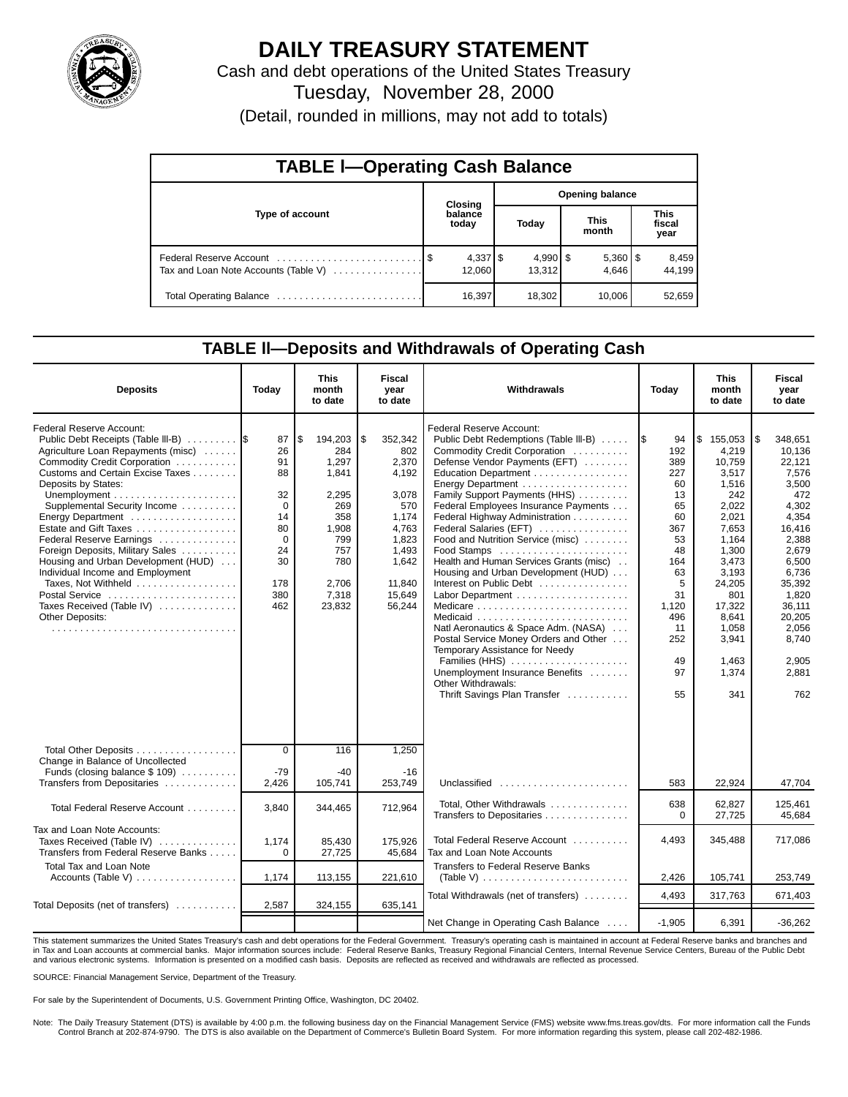

## **DAILY TREASURY STATEMENT**

Cash and debt operations of the United States Treasury Tuesday, November 28, 2000 (Detail, rounded in millions, may not add to totals)

| <b>TABLE I-Operating Cash Balance</b> |  |                  |                 |                      |  |                       |  |                        |  |  |
|---------------------------------------|--|------------------|-----------------|----------------------|--|-----------------------|--|------------------------|--|--|
|                                       |  | Closing          | Opening balance |                      |  |                       |  |                        |  |  |
| Type of account                       |  | balance<br>today |                 | Today                |  | <b>This</b><br>month  |  | This<br>fiscal<br>year |  |  |
| Tax and Loan Note Accounts (Table V)  |  | 12.060           |                 | $4,990$ \$<br>13.312 |  | $5,360$   \$<br>4.646 |  | 8,459<br>44.199        |  |  |
| Total Operating Balance               |  | 16,397           |                 | 18,302               |  | 10,006                |  | 52,659                 |  |  |

### **TABLE ll—Deposits and Withdrawals of Operating Cash**

| <b>Deposits</b>                                                                                                                                                                                                                                                                                                                                                                                                                                                                                                          | Today                                                                                           | This<br>month<br>to date                                                                                                | <b>Fiscal</b><br>year<br>to date                                                                                                  | Withdrawals                                                                                                                                                                                                                                                                                                                                                                                                                                                                                                                                                                                                                                                                                                                                                                               | Today                                                                                                                                            | This<br>month<br>to date                                                                                                                                                                                | Fiscal<br>year<br>to date                                                                                                                                                                                     |
|--------------------------------------------------------------------------------------------------------------------------------------------------------------------------------------------------------------------------------------------------------------------------------------------------------------------------------------------------------------------------------------------------------------------------------------------------------------------------------------------------------------------------|-------------------------------------------------------------------------------------------------|-------------------------------------------------------------------------------------------------------------------------|-----------------------------------------------------------------------------------------------------------------------------------|-------------------------------------------------------------------------------------------------------------------------------------------------------------------------------------------------------------------------------------------------------------------------------------------------------------------------------------------------------------------------------------------------------------------------------------------------------------------------------------------------------------------------------------------------------------------------------------------------------------------------------------------------------------------------------------------------------------------------------------------------------------------------------------------|--------------------------------------------------------------------------------------------------------------------------------------------------|---------------------------------------------------------------------------------------------------------------------------------------------------------------------------------------------------------|---------------------------------------------------------------------------------------------------------------------------------------------------------------------------------------------------------------|
| Federal Reserve Account:<br>Public Debt Receipts (Table III-B)<br>Agriculture Loan Repayments (misc)<br>Commodity Credit Corporation<br>Customs and Certain Excise Taxes<br>Deposits by States:<br>Supplemental Security Income<br>Energy Department<br>Estate and Gift Taxes<br>Federal Reserve Earnings<br>Foreign Deposits, Military Sales<br>Housing and Urban Development (HUD)<br>Individual Income and Employment<br>Taxes, Not Withheld<br>Postal Service<br>Taxes Received (Table IV)<br><b>Other Deposits:</b> | 87<br>26<br>91<br>88<br>32<br>$\Omega$<br>14<br>80<br>$\Omega$<br>24<br>30<br>178<br>380<br>462 | \$<br>194,203<br>284<br>1,297<br>1,841<br>2.295<br>269<br>358<br>1,908<br>799<br>757<br>780<br>2,706<br>7,318<br>23,832 | \$<br>352,342<br>802<br>2,370<br>4.192<br>3.078<br>570<br>1,174<br>4,763<br>1,823<br>1.493<br>1,642<br>11.840<br>15,649<br>56,244 | Federal Reserve Account:<br>Public Debt Redemptions (Table III-B)<br>Commodity Credit Corporation<br>Defense Vendor Payments (EFT)<br>Education Department<br>Energy Department<br>Family Support Payments (HHS)<br>Federal Employees Insurance Payments<br>Federal Highway Administration<br>Federal Salaries (EFT)<br>Food and Nutrition Service (misc)<br>Food Stamps<br>Health and Human Services Grants (misc)<br>Housing and Urban Development (HUD)<br>Interest on Public Debt<br>Medicare $\ldots \ldots \ldots \ldots \ldots \ldots \ldots \ldots$<br>Natl Aeronautics & Space Adm. (NASA)<br>Postal Service Money Orders and Other<br>Temporary Assistance for Needy<br>Families (HHS)<br>Unemployment Insurance Benefits<br>Other Withdrawals:<br>Thrift Savings Plan Transfer | 94<br>1\$<br>192<br>389<br>227<br>60<br>13<br>65<br>60<br>367<br>53<br>48<br>164<br>63<br>5<br>31<br>1,120<br>496<br>11<br>252<br>49<br>97<br>55 | \$<br>155,053<br>4,219<br>10,759<br>3.517<br>1,516<br>242<br>2.022<br>2,021<br>7.653<br>1.164<br>1.300<br>3.473<br>3.193<br>24,205<br>801<br>17.322<br>8,641<br>1,058<br>3,941<br>1,463<br>1,374<br>341 | 1\$<br>348,651<br>10,136<br>22,121<br>7,576<br>3,500<br>472<br>4,302<br>4,354<br>16,416<br>2,388<br>2.679<br>6.500<br>6.736<br>35,392<br>1.820<br>36.111<br>20,205<br>2,056<br>8,740<br>2,905<br>2.881<br>762 |
| Total Other Deposits<br>Change in Balance of Uncollected<br>Funds (closing balance $$109$ )                                                                                                                                                                                                                                                                                                                                                                                                                              | $\overline{0}$<br>$-79$                                                                         | 116<br>$-40$                                                                                                            | 1,250<br>$-16$                                                                                                                    |                                                                                                                                                                                                                                                                                                                                                                                                                                                                                                                                                                                                                                                                                                                                                                                           |                                                                                                                                                  |                                                                                                                                                                                                         |                                                                                                                                                                                                               |
| Transfers from Depositaries                                                                                                                                                                                                                                                                                                                                                                                                                                                                                              | 2,426                                                                                           | 105,741                                                                                                                 | 253,749                                                                                                                           | Unclassified                                                                                                                                                                                                                                                                                                                                                                                                                                                                                                                                                                                                                                                                                                                                                                              | 583                                                                                                                                              | 22,924                                                                                                                                                                                                  | 47,704                                                                                                                                                                                                        |
| Total Federal Reserve Account                                                                                                                                                                                                                                                                                                                                                                                                                                                                                            | 3,840                                                                                           | 344,465                                                                                                                 | 712,964                                                                                                                           | Total, Other Withdrawals<br>Transfers to Depositaries                                                                                                                                                                                                                                                                                                                                                                                                                                                                                                                                                                                                                                                                                                                                     | 638<br>0                                                                                                                                         | 62.827<br>27.725                                                                                                                                                                                        | 125.461<br>45.684                                                                                                                                                                                             |
| Tax and Loan Note Accounts:<br>Taxes Received (Table IV)<br>Transfers from Federal Reserve Banks                                                                                                                                                                                                                                                                                                                                                                                                                         | 1,174<br>$\Omega$                                                                               | 85,430<br>27,725                                                                                                        | 175,926<br>45,684                                                                                                                 | Total Federal Reserve Account<br>Tax and Loan Note Accounts                                                                                                                                                                                                                                                                                                                                                                                                                                                                                                                                                                                                                                                                                                                               | 4,493                                                                                                                                            | 345,488                                                                                                                                                                                                 | 717,086                                                                                                                                                                                                       |
| <b>Total Tax and Loan Note</b><br>Accounts (Table V)                                                                                                                                                                                                                                                                                                                                                                                                                                                                     | 1,174                                                                                           | 113,155                                                                                                                 | 221,610                                                                                                                           | <b>Transfers to Federal Reserve Banks</b><br>(Table V) $\ldots \ldots \ldots \ldots \ldots \ldots \ldots \ldots$                                                                                                                                                                                                                                                                                                                                                                                                                                                                                                                                                                                                                                                                          | 2,426                                                                                                                                            | 105,741                                                                                                                                                                                                 | 253.749                                                                                                                                                                                                       |
| Total Deposits (net of transfers)                                                                                                                                                                                                                                                                                                                                                                                                                                                                                        | 2,587                                                                                           | 324,155                                                                                                                 | 635,141                                                                                                                           | Total Withdrawals (net of transfers)                                                                                                                                                                                                                                                                                                                                                                                                                                                                                                                                                                                                                                                                                                                                                      | 4,493                                                                                                                                            | 317,763                                                                                                                                                                                                 | 671,403                                                                                                                                                                                                       |
|                                                                                                                                                                                                                                                                                                                                                                                                                                                                                                                          |                                                                                                 |                                                                                                                         |                                                                                                                                   | Net Change in Operating Cash Balance                                                                                                                                                                                                                                                                                                                                                                                                                                                                                                                                                                                                                                                                                                                                                      | $-1.905$                                                                                                                                         | 6,391                                                                                                                                                                                                   | $-36,262$                                                                                                                                                                                                     |

This statement summarizes the United States Treasury's cash and debt operations for the Federal Government. Treasury's operating cash is maintained in account at Federal Reserve banks and branches and in Tax and Loan accounts at commercial banks. Major information sources include: Federal Reserve Banks, Treasury Regional Financial Centers, Internal Revenue Service Centers, Bureau of the Public Debt in Tax and Loan accou and various electronic systems. Information is presented on a modified cash basis. Deposits are reflected as received and withdrawals are reflected as processed.

SOURCE: Financial Management Service, Department of the Treasury.

For sale by the Superintendent of Documents, U.S. Government Printing Office, Washington, DC 20402.

Note: The Daily Treasury Statement (DTS) is available by 4:00 p.m. the following business day on the Financial Management Service (FMS) website www.fms.treas.gov/dts. For more information call the Funds Control Branch at 202-874-9790. The DTS is also available on the Department of Commerce's Bulletin Board System. For more information regarding this system, please call 202-482-1986.